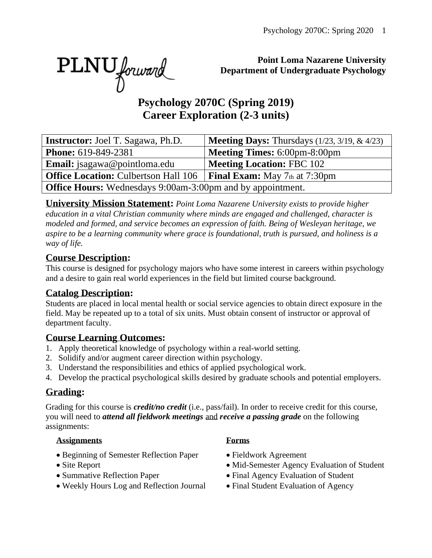PLNU forward

#### **Point Loma Nazarene University Department of Undergraduate Psychology**

# **Psychology 2070C (Spring 2019) Career Exploration (2-3 units)**

| <b>Instructor:</b> Joel T. Sagawa, Ph.D.                                           | <b>Meeting Days:</b> Thursdays $(1/23, 3/19, \& 4/23)$ |  |  |  |
|------------------------------------------------------------------------------------|--------------------------------------------------------|--|--|--|
| <b>Phone:</b> 619-849-2381                                                         | <b>Meeting Times: 6:00pm-8:00pm</b>                    |  |  |  |
| <b>Email:</b> jsagawa@pointloma.edu                                                | <b>Meeting Location: FBC 102</b>                       |  |  |  |
| <b>Office Location:</b> Culbertson Hall 106   <b>Final Exam:</b> May 7th at 7:30pm |                                                        |  |  |  |
| <b>Office Hours:</b> Wednesdays 9:00am-3:00pm and by appointment.                  |                                                        |  |  |  |

**University Mission Statement:** *Point Loma Nazarene University exists to provide higher education in a vital Christian community where minds are engaged and challenged, character is modeled and formed, and service becomes an expression of faith. Being of Wesleyan heritage, we aspire to be a learning community where grace is foundational, truth is pursued, and holiness is a way of life.*

#### **Course Description:**

This course is designed for psychology majors who have some interest in careers within psychology and a desire to gain real world experiences in the field but limited course background.

#### **Catalog Description:**

Students are placed in local mental health or social service agencies to obtain direct exposure in the field. May be repeated up to a total of six units. Must obtain consent of instructor or approval of department faculty.

#### **Course Learning Outcomes:**

- 1. Apply theoretical knowledge of psychology within a real-world setting.
- 2. Solidify and/or augment career direction within psychology.
- 3. Understand the responsibilities and ethics of applied psychological work.
- 4. Develop the practical psychological skills desired by graduate schools and potential employers.

#### **Grading:**

Grading for this course is *credit/no credit* (i.e., pass/fail). In order to receive credit for this course, you will need to *attend all fieldwork meetings* and *receive a passing grade* on the following assignments:

#### **Assignments Forms**

- Beginning of Semester Reflection Paper Fieldwork Agreement
- 
- 
- Weekly Hours Log and Reflection Journal Final Student Evaluation of Agency

- 
- Site Report Mid-Semester Agency Evaluation of Student
- Summative Reflection Paper Final Agency Evaluation of Student
	-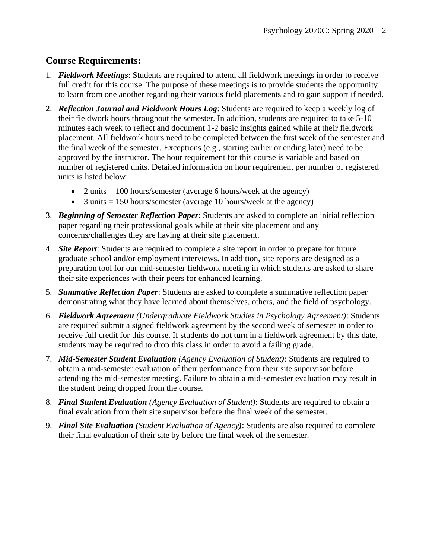#### **Course Requirements:**

- 1. *Fieldwork Meetings*: Students are required to attend all fieldwork meetings in order to receive full credit for this course. The purpose of these meetings is to provide students the opportunity to learn from one another regarding their various field placements and to gain support if needed.
- 2. *Reflection Journal and Fieldwork Hours Log*: Students are required to keep a weekly log of their fieldwork hours throughout the semester. In addition, students are required to take 5-10 minutes each week to reflect and document 1-2 basic insights gained while at their fieldwork placement. All fieldwork hours need to be completed between the first week of the semester and the final week of the semester. Exceptions (e.g., starting earlier or ending later) need to be approved by the instructor. The hour requirement for this course is variable and based on number of registered units. Detailed information on hour requirement per number of registered units is listed below:
	- 2 units  $= 100$  hours/semester (average 6 hours/week at the agency)
	- 3 units  $= 150$  hours/semester (average 10 hours/week at the agency)
- 3. *Beginning of Semester Reflection Paper*: Students are asked to complete an initial reflection paper regarding their professional goals while at their site placement and any concerns/challenges they are having at their site placement.
- 4. *Site Report*: Students are required to complete a site report in order to prepare for future graduate school and/or employment interviews. In addition, site reports are designed as a preparation tool for our mid-semester fieldwork meeting in which students are asked to share their site experiences with their peers for enhanced learning.
- 5. *Summative Reflection Paper*: Students are asked to complete a summative reflection paper demonstrating what they have learned about themselves, others, and the field of psychology.
- 6. *Fieldwork Agreement (Undergraduate Fieldwork Studies in Psychology Agreement)*: Students are required submit a signed fieldwork agreement by the second week of semester in order to receive full credit for this course. If students do not turn in a fieldwork agreement by this date, students may be required to drop this class in order to avoid a failing grade.
- 7. *Mid*-*Semester Student Evaluation (Agency Evaluation of Student)*: Students are required to obtain a mid-semester evaluation of their performance from their site supervisor before attending the mid-semester meeting. Failure to obtain a mid-semester evaluation may result in the student being dropped from the course.
- 8. *Final Student Evaluation (Agency Evaluation of Student)*: Students are required to obtain a final evaluation from their site supervisor before the final week of the semester.
- 9. *Final Site Evaluation (Student Evaluation of Agency)*: Students are also required to complete their final evaluation of their site by before the final week of the semester.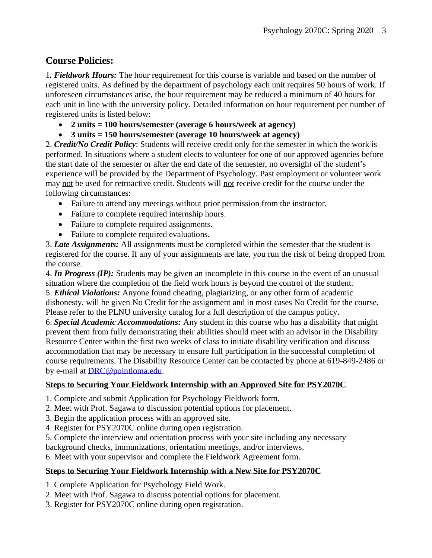#### **Course Policies:**

1*. Fieldwork Hours:* The hour requirement for this course is variable and based on the number of registered units. As defined by the department of psychology each unit requires 50 hours of work. If unforeseen circumstances arise, the hour requirement may be reduced a minimum of 40 hours for each unit in line with the university policy. Detailed information on hour requirement per number of registered units is listed below:

- **2 units = 100 hours/semester (average 6 hours/week at agency)**
- **3 units = 150 hours/semester (average 10 hours/week at agency)**

2. *Credit/No Credit Policy*: Students will receive credit only for the semester in which the work is performed. In situations where a student elects to volunteer for one of our approved agencies before the start date of the semester or after the end date of the semester, no oversight of the student's experience will be provided by the Department of Psychology. Past employment or volunteer work may not be used for retroactive credit. Students will not receive credit for the course under the following circumstances:

- Failure to attend any meetings without prior permission from the instructor.
- Failure to complete required internship hours.
- Failure to complete required assignments.
- Failure to complete required evaluations.

3. *Late Assignments:* All assignments must be completed within the semester that the student is registered for the course. If any of your assignments are late, you run the risk of being dropped from the course.

4. *In Progress (IP):* Students may be given an incomplete in this course in the event of an unusual situation where the completion of the field work hours is beyond the control of the student. 5. *Ethical Violations:* Anyone found cheating, plagiarizing, or any other form of academic dishonesty, will be given No Credit for the assignment and in most cases No Credit for the course. Please refer to the PLNU university catalog for a full description of the campus policy.

6. *Special Academic Accommodations:* Any student in this course who has a disability that might prevent them from fully demonstrating their abilities should meet with an advisor in the Disability Resource Center within the first two weeks of class to initiate disability verification and discuss accommodation that may be necessary to ensure full participation in the successful completion of course requirements. The Disability Resource Center can be contacted by phone at 619-849-2486 or by e-mail at [DRC@pointloma.edu.](mailto:DRC@pointloma.edu)

#### **Steps to Securing Your Fieldwork Internship with an Approved Site for PSY2070C**

- 1. Complete and submit Application for Psychology Fieldwork form.
- 2. Meet with Prof. Sagawa to discussion potential options for placement.
- 3. Begin the application process with an approved site.
- 4. Register for PSY2070C online during open registration.
- 5. Complete the interview and orientation process with your site including any necessary

background checks, immunizations, orientation meetings, and/or interviews.

6. Meet with your supervisor and complete the Fieldwork Agreement form.

#### **Steps to Securing Your Fieldwork Internship with a New Site for PSY2070C**

- 1. Complete Application for Psychology Field Work.
- 2. Meet with Prof. Sagawa to discuss potential options for placement.
- 3. Register for PSY2070C online during open registration.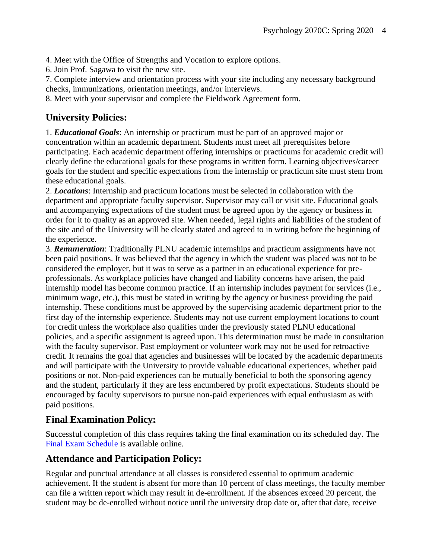4. Meet with the Office of Strengths and Vocation to explore options.

6. Join Prof. Sagawa to visit the new site.

7. Complete interview and orientation process with your site including any necessary background checks, immunizations, orientation meetings, and/or interviews.

8. Meet with your supervisor and complete the Fieldwork Agreement form.

#### **University Policies:**

1. *Educational Goals*: An internship or practicum must be part of an approved major or concentration within an academic department. Students must meet all prerequisites before participating. Each academic department offering internships or practicums for academic credit will clearly define the educational goals for these programs in written form. Learning objectives/career goals for the student and specific expectations from the internship or practicum site must stem from these educational goals.

2. *Locations*: Internship and practicum locations must be selected in collaboration with the department and appropriate faculty supervisor. Supervisor may call or visit site. Educational goals and accompanying expectations of the student must be agreed upon by the agency or business in order for it to quality as an approved site. When needed, legal rights and liabilities of the student of the site and of the University will be clearly stated and agreed to in writing before the beginning of the experience.

3. *Remuneration*: Traditionally PLNU academic internships and practicum assignments have not been paid positions. It was believed that the agency in which the student was placed was not to be considered the employer, but it was to serve as a partner in an educational experience for preprofessionals. As workplace policies have changed and liability concerns have arisen, the paid internship model has become common practice. If an internship includes payment for services (i.e., minimum wage, etc.), this must be stated in writing by the agency or business providing the paid internship. These conditions must be approved by the supervising academic department prior to the first day of the internship experience. Students may not use current employment locations to count for credit unless the workplace also qualifies under the previously stated PLNU educational policies, and a specific assignment is agreed upon. This determination must be made in consultation with the faculty supervisor. Past employment or volunteer work may not be used for retroactive credit. It remains the goal that agencies and businesses will be located by the academic departments and will participate with the University to provide valuable educational experiences, whether paid positions or not. Non-paid experiences can be mutually beneficial to both the sponsoring agency and the student, particularly if they are less encumbered by profit expectations. Students should be encouraged by faculty supervisors to pursue non-paid experiences with equal enthusiasm as with paid positions.

#### **Final Examination Policy:**

Successful completion of this class requires taking the final examination on its scheduled day. The [Final Exam Schedule](http://www.pointloma.edu/experience/academics/class-schedules) is available online.

#### **Attendance and Participation Policy:**

Regular and punctual attendance at all classes is considered essential to optimum academic achievement. If the student is absent for more than 10 percent of class meetings, the faculty member can file a written report which may result in de-enrollment. If the absences exceed 20 percent, the student may be de-enrolled without notice until the university drop date or, after that date, receive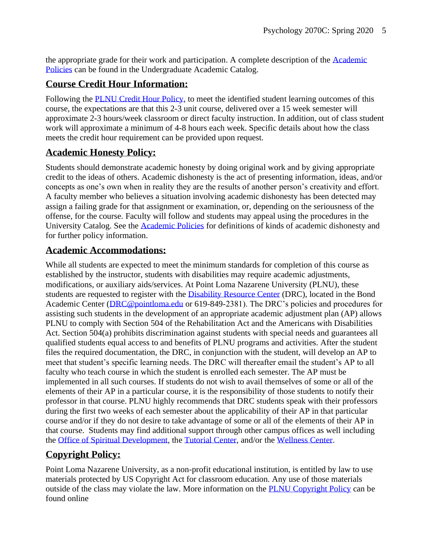the appropriate grade for their work and participation. A complete description of the [Academic](https://catalog.pointloma.edu/content.php?catoid=18&navoid=1278#Class_Attendance)  [Policies](https://catalog.pointloma.edu/content.php?catoid=18&navoid=1278#Class_Attendance) can be found in the Undergraduate Academic Catalog.

#### **Course Credit Hour Information:**

Following the [PLNU Credit Hour Policy,](http://catalog.pointloma.edu/content.php?catoid=18&navoid=1278#Credit_Hour_Definition) to meet the identified student learning outcomes of this course, the expectations are that this 2-3 unit course, delivered over a 15 week semester will approximate 2-3 hours/week classroom or direct faculty instruction. In addition, out of class student work will approximate a minimum of 4-8 hours each week. Specific details about how the class meets the credit hour requirement can be provided upon request.

#### **Academic Honesty Policy:**

Students should demonstrate academic honesty by doing original work and by giving appropriate credit to the ideas of others. Academic dishonesty is the act of presenting information, ideas, and/or concepts as one's own when in reality they are the results of another person's creativity and effort. A faculty member who believes a situation involving academic dishonesty has been detected may assign a failing grade for that assignment or examination, or, depending on the seriousness of the offense, for the course. Faculty will follow and students may appeal using the procedures in the University Catalog. See the [Academic Policies](https://catalog.pointloma.edu/content.php?catoid=18&navoid=1278#Academic_Honesty) for definitions of kinds of academic dishonesty and for further policy information.

#### **Academic Accommodations:**

While all students are expected to meet the minimum standards for completion of this course as established by the instructor, students with disabilities may require academic adjustments, modifications, or auxiliary aids/services. At Point Loma Nazarene University (PLNU), these students are requested to register with the [Disability Resource Center](http://www.pointloma.edu/experience/offices/administrative-offices/academic-advising-office/disability-resource-center) (DRC), located in the Bond Academic Center [\(DRC@pointloma.edu](mailto:DRC@pointloma.edu) or 619-849-2381). The DRC's policies and procedures for assisting such students in the development of an appropriate academic adjustment plan (AP) allows PLNU to comply with Section 504 of the Rehabilitation Act and the Americans with Disabilities Act. Section 504(a) prohibits discrimination against students with special needs and guarantees all qualified students equal access to and benefits of PLNU programs and activities. After the student files the required documentation, the DRC, in conjunction with the student, will develop an AP to meet that student's specific learning needs. The DRC will thereafter email the student's AP to all faculty who teach course in which the student is enrolled each semester. The AP must be implemented in all such courses. If students do not wish to avail themselves of some or all of the elements of their AP in a particular course, it is the responsibility of those students to notify their professor in that course. PLNU highly recommends that DRC students speak with their professors during the first two weeks of each semester about the applicability of their AP in that particular course and/or if they do not desire to take advantage of some or all of the elements of their AP in that course. Students may find additional support through other campus offices as well including the [Office of Spiritual Development,](https://www.pointloma.edu/offices/spiritual-development) the [Tutorial Center,](https://www.pointloma.edu/offices/tutorial-services) and/or the [Wellness Center.](https://www.pointloma.edu/offices/wellness-center)

### **Copyright Policy:**

Point Loma Nazarene University, as a non-profit educational institution, is entitled by law to use materials protected by US Copyright Act for classroom education. Any use of those materials outside of the class may violate the law. More information on the [PLNU Copyright Policy](http://libguides.pointloma.edu/content.php?pid=203591&sid=1700398) can be found online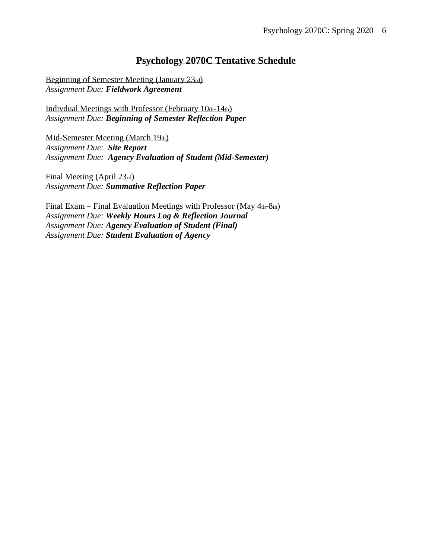#### **Psychology 2070C Tentative Schedule**

Beginning of Semester Meeting (January 23rd) *Assignment Due: Fieldwork Agreement*

Indivdual Meetings with Professor (February 10th-14th) *Assignment Due: Beginning of Semester Reflection Paper*

Mid-Semester Meeting (March 19th) *Assignment Due: Site Report Assignment Due: Agency Evaluation of Student (Mid-Semester)*

Final Meeting (April 23rd) *Assignment Due: Summative Reflection Paper*

Final Exam – Final Evaluation Meetings with Professor (May 4th-8th) *Assignment Due: Weekly Hours Log & Reflection Journal Assignment Due: Agency Evaluation of Student (Final) Assignment Due: Student Evaluation of Agency*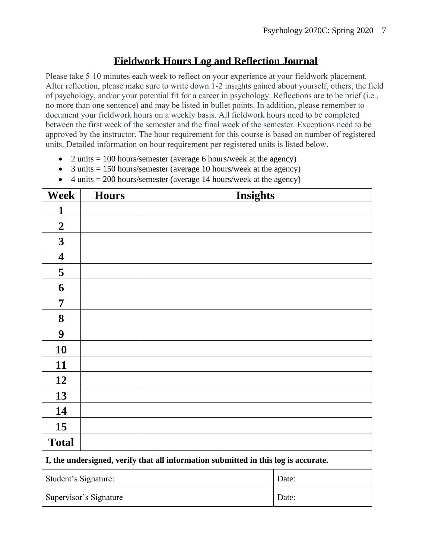## **Fieldwork Hours Log and Reflection Journal**

Please take 5-10 minutes each week to reflect on your experience at your fieldwork placement. After reflection, please make sure to write down 1-2 insights gained about yourself, others, the field of psychology, and/or your potential fit for a career in psychology. Reflections are to be brief (i.e., no more than one sentence) and may be listed in bullet points. In addition, please remember to document your fieldwork hours on a weekly basis. All fieldwork hours need to be completed between the first week of the semester and the final week of the semester. Exceptions need to be approved by the instructor. The hour requirement for this course is based on number of registered units. Detailed information on hour requirement per registered units is listed below.

- 2 units  $= 100$  hours/semester (average 6 hours/week at the agency)
- 3 units  $= 150$  hours/semester (average 10 hours/week at the agency)
- 4 units  $= 200$  hours/semester (average 14 hours/week at the agency)

| <b>Week</b>                                                                        | <b>Hours</b>           | <b>Insights</b> |       |  |
|------------------------------------------------------------------------------------|------------------------|-----------------|-------|--|
| 1                                                                                  |                        |                 |       |  |
| $\boldsymbol{2}$                                                                   |                        |                 |       |  |
| $\mathbf{3}$                                                                       |                        |                 |       |  |
| $\overline{\mathbf{4}}$                                                            |                        |                 |       |  |
| 5                                                                                  |                        |                 |       |  |
| 6                                                                                  |                        |                 |       |  |
| 7                                                                                  |                        |                 |       |  |
| 8                                                                                  |                        |                 |       |  |
| $\boldsymbol{9}$                                                                   |                        |                 |       |  |
| 10                                                                                 |                        |                 |       |  |
| 11                                                                                 |                        |                 |       |  |
| 12                                                                                 |                        |                 |       |  |
| 13                                                                                 |                        |                 |       |  |
| 14                                                                                 |                        |                 |       |  |
| 15                                                                                 |                        |                 |       |  |
| <b>Total</b>                                                                       |                        |                 |       |  |
| I, the undersigned, verify that all information submitted in this log is accurate. |                        |                 |       |  |
| Student's Signature:                                                               |                        |                 | Date: |  |
|                                                                                    | Supervisor's Signature |                 | Date: |  |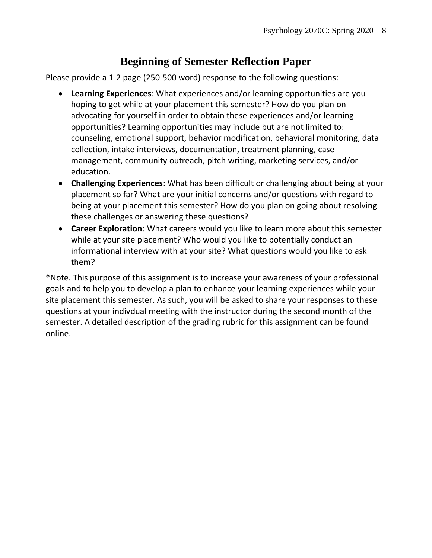# **Beginning of Semester Reflection Paper**

Please provide a 1-2 page (250-500 word) response to the following questions:

- **Learning Experiences**: What experiences and/or learning opportunities are you hoping to get while at your placement this semester? How do you plan on advocating for yourself in order to obtain these experiences and/or learning opportunities? Learning opportunities may include but are not limited to: counseling, emotional support, behavior modification, behavioral monitoring, data collection, intake interviews, documentation, treatment planning, case management, community outreach, pitch writing, marketing services, and/or education.
- **Challenging Experiences**: What has been difficult or challenging about being at your placement so far? What are your initial concerns and/or questions with regard to being at your placement this semester? How do you plan on going about resolving these challenges or answering these questions?
- **Career Exploration**: What careers would you like to learn more about this semester while at your site placement? Who would you like to potentially conduct an informational interview with at your site? What questions would you like to ask them?

\*Note. This purpose of this assignment is to increase your awareness of your professional goals and to help you to develop a plan to enhance your learning experiences while your site placement this semester. As such, you will be asked to share your responses to these questions at your indivdual meeting with the instructor during the second month of the semester. A detailed description of the grading rubric for this assignment can be found online.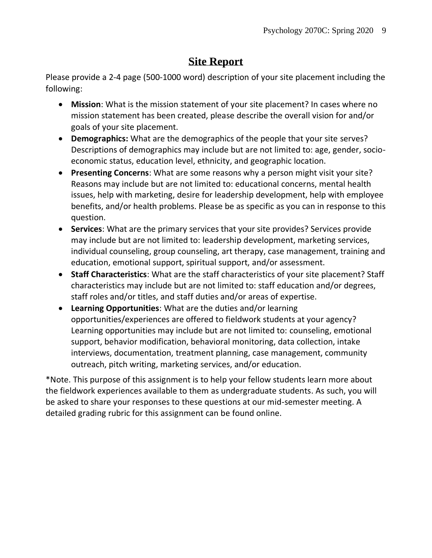# **Site Report**

Please provide a 2-4 page (500-1000 word) description of your site placement including the following:

- **Mission**: What is the mission statement of your site placement? In cases where no mission statement has been created, please describe the overall vision for and/or goals of your site placement.
- **Demographics:** What are the demographics of the people that your site serves? Descriptions of demographics may include but are not limited to: age, gender, socioeconomic status, education level, ethnicity, and geographic location.
- **Presenting Concerns**: What are some reasons why a person might visit your site? Reasons may include but are not limited to: educational concerns, mental health issues, help with marketing, desire for leadership development, help with employee benefits, and/or health problems. Please be as specific as you can in response to this question.
- **Services**: What are the primary services that your site provides? Services provide may include but are not limited to: leadership development, marketing services, individual counseling, group counseling, art therapy, case management, training and education, emotional support, spiritual support, and/or assessment.
- **Staff Characteristics**: What are the staff characteristics of your site placement? Staff characteristics may include but are not limited to: staff education and/or degrees, staff roles and/or titles, and staff duties and/or areas of expertise.
- **Learning Opportunities**: What are the duties and/or learning opportunities/experiences are offered to fieldwork students at your agency? Learning opportunities may include but are not limited to: counseling, emotional support, behavior modification, behavioral monitoring, data collection, intake interviews, documentation, treatment planning, case management, community outreach, pitch writing, marketing services, and/or education.

\*Note. This purpose of this assignment is to help your fellow students learn more about the fieldwork experiences available to them as undergraduate students. As such, you will be asked to share your responses to these questions at our mid-semester meeting. A detailed grading rubric for this assignment can be found online.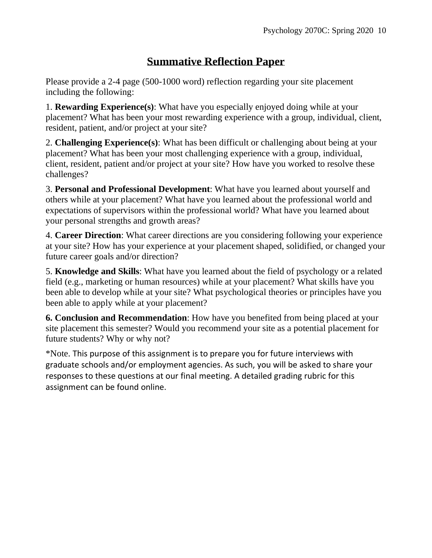# **Summative Reflection Paper**

Please provide a 2-4 page (500-1000 word) reflection regarding your site placement including the following:

1. **Rewarding Experience(s)**: What have you especially enjoyed doing while at your placement? What has been your most rewarding experience with a group, individual, client, resident, patient, and/or project at your site?

2. **Challenging Experience(s)**: What has been difficult or challenging about being at your placement? What has been your most challenging experience with a group, individual, client, resident, patient and/or project at your site? How have you worked to resolve these challenges?

3. **Personal and Professional Development**: What have you learned about yourself and others while at your placement? What have you learned about the professional world and expectations of supervisors within the professional world? What have you learned about your personal strengths and growth areas?

4. **Career Direction**: What career directions are you considering following your experience at your site? How has your experience at your placement shaped, solidified, or changed your future career goals and/or direction?

5. **Knowledge and Skills**: What have you learned about the field of psychology or a related field (e.g., marketing or human resources) while at your placement? What skills have you been able to develop while at your site? What psychological theories or principles have you been able to apply while at your placement?

**6. Conclusion and Recommendation**: How have you benefited from being placed at your site placement this semester? Would you recommend your site as a potential placement for future students? Why or why not?

\*Note. This purpose of this assignment is to prepare you for future interviews with graduate schools and/or employment agencies. As such, you will be asked to share your responses to these questions at our final meeting. A detailed grading rubric for this assignment can be found online.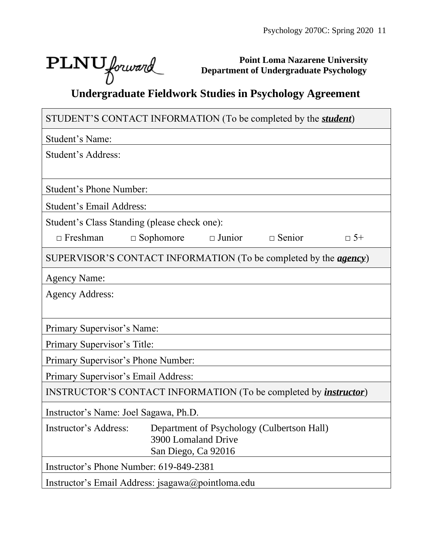٦

Г

**Point Loma Nazarene University Department of Undergraduate Psychology**

# **PLNU** *Jorward Department of Undergraduate Psychology*<br>Undergraduate Fieldwork Studies in Psychology Agreement

| STUDENT'S CONTACT INFORMATION (To be completed by the <i>student</i> )             |  |  |  |  |  |
|------------------------------------------------------------------------------------|--|--|--|--|--|
| Student's Name:                                                                    |  |  |  |  |  |
| Student's Address:                                                                 |  |  |  |  |  |
|                                                                                    |  |  |  |  |  |
| <b>Student's Phone Number:</b>                                                     |  |  |  |  |  |
| Student's Email Address:                                                           |  |  |  |  |  |
| Student's Class Standing (please check one):                                       |  |  |  |  |  |
| $\Box$ Junior<br>$\Box$ Senior<br>$\Box$ Freshman<br>$\Box$ Sophomore<br>$\Box$ 5+ |  |  |  |  |  |
| SUPERVISOR'S CONTACT INFORMATION (To be completed by the <i>agency</i> )           |  |  |  |  |  |
| <b>Agency Name:</b>                                                                |  |  |  |  |  |
| <b>Agency Address:</b>                                                             |  |  |  |  |  |
|                                                                                    |  |  |  |  |  |
| Primary Supervisor's Name:                                                         |  |  |  |  |  |
| Primary Supervisor's Title:                                                        |  |  |  |  |  |
| Primary Supervisor's Phone Number:                                                 |  |  |  |  |  |
| Primary Supervisor's Email Address:                                                |  |  |  |  |  |
| INSTRUCTOR'S CONTACT INFORMATION (To be completed by <i>instructor</i> )           |  |  |  |  |  |
| Instructor's Name: Joel Sagawa, Ph.D.                                              |  |  |  |  |  |
| Instructor's Address:<br>Department of Psychology (Culbertson Hall)                |  |  |  |  |  |
| 3900 Lomaland Drive<br>San Diego, Ca 92016                                         |  |  |  |  |  |
| Instructor's Phone Number: 619-849-2381                                            |  |  |  |  |  |
| Instructor's Email Address: jsagawa@pointloma.edu                                  |  |  |  |  |  |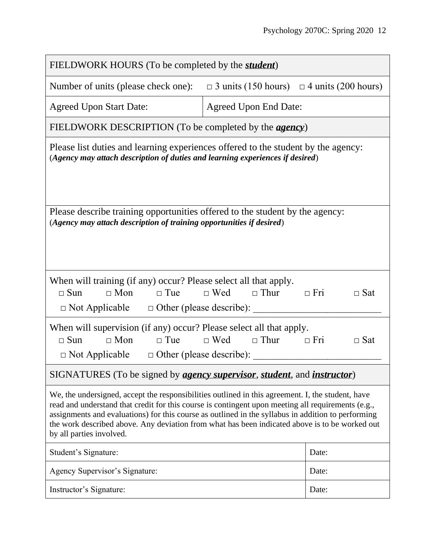| FIELDWORK HOURS (To be completed by the <i>student</i> )                                                                                                                                                                                                                                                                                                                                                                                    |                                                       |                          |  |  |
|---------------------------------------------------------------------------------------------------------------------------------------------------------------------------------------------------------------------------------------------------------------------------------------------------------------------------------------------------------------------------------------------------------------------------------------------|-------------------------------------------------------|--------------------------|--|--|
| Number of units (please check one):                                                                                                                                                                                                                                                                                                                                                                                                         | $\Box$ 3 units (150 hours) $\Box$ 4 units (200 hours) |                          |  |  |
| <b>Agreed Upon Start Date:</b>                                                                                                                                                                                                                                                                                                                                                                                                              | <b>Agreed Upon End Date:</b>                          |                          |  |  |
| FIELDWORK DESCRIPTION (To be completed by the <i>agency</i> )                                                                                                                                                                                                                                                                                                                                                                               |                                                       |                          |  |  |
| Please list duties and learning experiences offered to the student by the agency:<br>(Agency may attach description of duties and learning experiences if desired)                                                                                                                                                                                                                                                                          |                                                       |                          |  |  |
| Please describe training opportunities offered to the student by the agency:<br>(Agency may attach description of training opportunities if desired)                                                                                                                                                                                                                                                                                        |                                                       |                          |  |  |
| When will training (if any) occur? Please select all that apply.<br>$\Box$ Sun<br>$\Box$ Mon<br>$\Box$ Tue<br>$\Box$ Not Applicable $\Box$ Other (please describe):                                                                                                                                                                                                                                                                         | $\Box$ Wed<br>$\Box$ Thur<br>$\Box$ Fri               | $\Box$ Sat               |  |  |
| When will supervision (if any) occur? Please select all that apply.<br>$\Box$ Mon<br>$\Box$ Tue<br>$\Box$ Sun<br>$\Box$ Not Applicable $\Box$ Other (please describe):                                                                                                                                                                                                                                                                      | $\Box$ Wed<br>$\hfill \Box$<br>Thur                   | $\Box$ Fri<br>$\Box$ Sat |  |  |
| SIGNATURES (To be signed by <i>agency supervisor</i> , <i>student</i> , and <i>instructor</i> )                                                                                                                                                                                                                                                                                                                                             |                                                       |                          |  |  |
| We, the undersigned, accept the responsibilities outlined in this agreement. I, the student, have<br>read and understand that credit for this course is contingent upon meeting all requirements (e.g.,<br>assignments and evaluations) for this course as outlined in the syllabus in addition to performing<br>the work described above. Any deviation from what has been indicated above is to be worked out<br>by all parties involved. |                                                       |                          |  |  |
| Student's Signature:                                                                                                                                                                                                                                                                                                                                                                                                                        |                                                       | Date:                    |  |  |
| Agency Supervisor's Signature:                                                                                                                                                                                                                                                                                                                                                                                                              |                                                       | Date:                    |  |  |
| Instructor's Signature:                                                                                                                                                                                                                                                                                                                                                                                                                     |                                                       | Date:                    |  |  |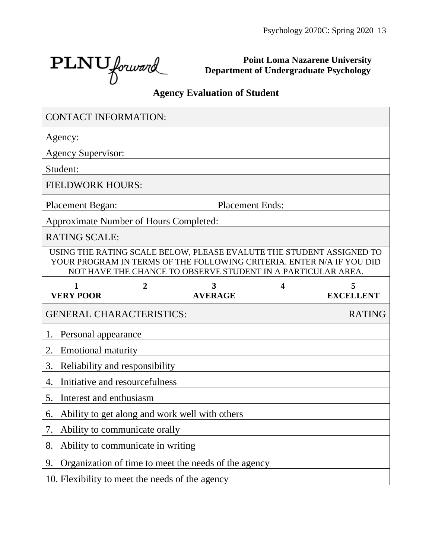PLNU forward

**Point Loma Nazarene University Department of Undergraduate Psychology**

# **Agency Evaluation of Student**

| <b>CONTACT INFORMATION:</b>                                                                                                                   |                                                              |                                           |                        |                         |                       |  |
|-----------------------------------------------------------------------------------------------------------------------------------------------|--------------------------------------------------------------|-------------------------------------------|------------------------|-------------------------|-----------------------|--|
| Agency:                                                                                                                                       |                                                              |                                           |                        |                         |                       |  |
| <b>Agency Supervisor:</b>                                                                                                                     |                                                              |                                           |                        |                         |                       |  |
| Student:                                                                                                                                      |                                                              |                                           |                        |                         |                       |  |
| <b>FIELDWORK HOURS:</b>                                                                                                                       |                                                              |                                           |                        |                         |                       |  |
| <b>Placement Began:</b>                                                                                                                       |                                                              |                                           | <b>Placement Ends:</b> |                         |                       |  |
| Approximate Number of Hours Completed:                                                                                                        |                                                              |                                           |                        |                         |                       |  |
| <b>RATING SCALE:</b>                                                                                                                          |                                                              |                                           |                        |                         |                       |  |
| USING THE RATING SCALE BELOW, PLEASE EVALUTE THE STUDENT ASSIGNED TO<br>YOUR PROGRAM IN TERMS OF THE FOLLOWING CRITERIA. ENTER N/A IF YOU DID | NOT HAVE THE CHANCE TO OBSERVE STUDENT IN A PARTICULAR AREA. |                                           |                        |                         |                       |  |
| $\mathbf{1}$<br><b>VERY POOR</b>                                                                                                              | $\overline{2}$                                               | $\overline{\mathbf{3}}$<br><b>AVERAGE</b> |                        | $\overline{\mathbf{4}}$ | 5<br><b>EXCELLENT</b> |  |
| <b>GENERAL CHARACTERISTICS:</b>                                                                                                               |                                                              |                                           |                        |                         | <b>RATING</b>         |  |
| Personal appearance<br>1.                                                                                                                     |                                                              |                                           |                        |                         |                       |  |
| <b>Emotional maturity</b><br>2.                                                                                                               |                                                              |                                           |                        |                         |                       |  |
| 3.<br>Reliability and responsibility                                                                                                          |                                                              |                                           |                        |                         |                       |  |
| 4.                                                                                                                                            | Initiative and resourcefulness                               |                                           |                        |                         |                       |  |
| 5.<br>Interest and enthusiasm                                                                                                                 |                                                              |                                           |                        |                         |                       |  |
| Ability to get along and work well with others<br>6.                                                                                          |                                                              |                                           |                        |                         |                       |  |
|                                                                                                                                               |                                                              |                                           |                        |                         |                       |  |
| 7.                                                                                                                                            | Ability to communicate orally                                |                                           |                        |                         |                       |  |
| 8.                                                                                                                                            | Ability to communicate in writing                            |                                           |                        |                         |                       |  |
| 9.                                                                                                                                            | Organization of time to meet the needs of the agency         |                                           |                        |                         |                       |  |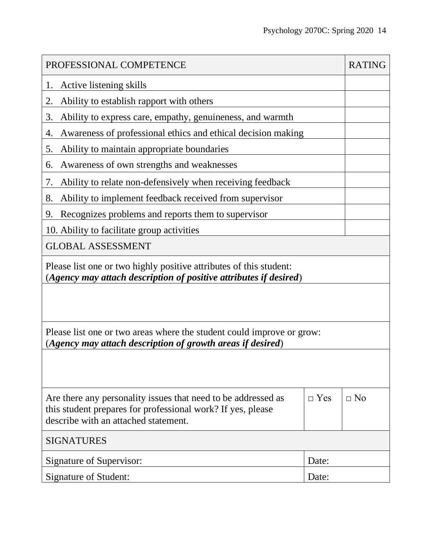| PROFESSIONAL COMPETENCE                                                                                                                                              |            |           |  |  |  |
|----------------------------------------------------------------------------------------------------------------------------------------------------------------------|------------|-----------|--|--|--|
| Active listening skills<br>1.                                                                                                                                        |            |           |  |  |  |
| 2.<br>Ability to establish rapport with others                                                                                                                       |            |           |  |  |  |
| Ability to express care, empathy, genuineness, and warmth<br>3.                                                                                                      |            |           |  |  |  |
| Awareness of professional ethics and ethical decision making<br>4.                                                                                                   |            |           |  |  |  |
| Ability to maintain appropriate boundaries<br>5.                                                                                                                     |            |           |  |  |  |
| Awareness of own strengths and weaknesses<br>6.                                                                                                                      |            |           |  |  |  |
| Ability to relate non-defensively when receiving feedback<br>7.                                                                                                      |            |           |  |  |  |
| Ability to implement feedback received from supervisor<br>8.                                                                                                         |            |           |  |  |  |
| Recognizes problems and reports them to supervisor<br>9.                                                                                                             |            |           |  |  |  |
| 10. Ability to facilitate group activities                                                                                                                           |            |           |  |  |  |
| <b>GLOBAL ASSESSMENT</b>                                                                                                                                             |            |           |  |  |  |
| Please list one or two highly positive attributes of this student:<br>(Agency may attach description of positive attributes if desired)                              |            |           |  |  |  |
|                                                                                                                                                                      |            |           |  |  |  |
| Please list one or two areas where the student could improve or grow:<br>(Agency may attach description of growth areas if desired)                                  |            |           |  |  |  |
|                                                                                                                                                                      |            |           |  |  |  |
| Are there any personality issues that need to be addressed as<br>this student prepares for professional work? If yes, please<br>describe with an attached statement. | $\Box$ Yes | $\Box$ No |  |  |  |
| <b>SIGNATURES</b>                                                                                                                                                    |            |           |  |  |  |
| Signature of Supervisor:<br>Date:                                                                                                                                    |            |           |  |  |  |
| Signature of Student:                                                                                                                                                | Date:      |           |  |  |  |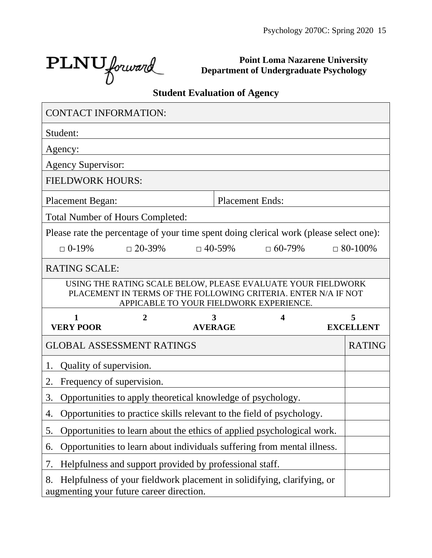$\text{PLNU}_{forward}$ 

**Point Loma Nazarene University Department of Undergraduate Psychology**

## **Student Evaluation of Agency**

| <b>CONTACT INFORMATION:</b>                                                            |                                                                                                                                |                |               |                                         |                  |
|----------------------------------------------------------------------------------------|--------------------------------------------------------------------------------------------------------------------------------|----------------|---------------|-----------------------------------------|------------------|
| Student:                                                                               |                                                                                                                                |                |               |                                         |                  |
| Agency:                                                                                |                                                                                                                                |                |               |                                         |                  |
| <b>Agency Supervisor:</b>                                                              |                                                                                                                                |                |               |                                         |                  |
| <b>FIELDWORK HOURS:</b>                                                                |                                                                                                                                |                |               |                                         |                  |
| <b>Placement Began:</b>                                                                |                                                                                                                                |                |               | <b>Placement Ends:</b>                  |                  |
| <b>Total Number of Hours Completed:</b>                                                |                                                                                                                                |                |               |                                         |                  |
| Please rate the percentage of your time spent doing clerical work (please select one): |                                                                                                                                |                |               |                                         |                  |
| $\Box$ 0-19%                                                                           | $\Box$ 20-39%                                                                                                                  |                | $\Box$ 40-59% | $\Box$ 60-79%                           | $\Box$ 80-100%   |
| <b>RATING SCALE:</b>                                                                   |                                                                                                                                |                |               |                                         |                  |
|                                                                                        | USING THE RATING SCALE BELOW, PLEASE EVALUATE YOUR FIELDWORK<br>PLACEMENT IN TERMS OF THE FOLLOWING CRITERIA. ENTER N/A IF NOT |                |               |                                         |                  |
|                                                                                        |                                                                                                                                |                |               | APPICABLE TO YOUR FIELDWORK EXPERIENCE. |                  |
| 1                                                                                      | 2                                                                                                                              |                | 3             |                                         | 5                |
| <b>VERY POOR</b>                                                                       |                                                                                                                                | <b>AVERAGE</b> |               |                                         | <b>EXCELLENT</b> |
| <b>GLOBAL ASSESSMENT RATINGS</b>                                                       |                                                                                                                                |                |               |                                         | <b>RATING</b>    |
| Quality of supervision.<br>1.                                                          |                                                                                                                                |                |               |                                         |                  |
| Frequency of supervision.<br>2.                                                        |                                                                                                                                |                |               |                                         |                  |
| 3.                                                                                     | Opportunities to apply theoretical knowledge of psychology.                                                                    |                |               |                                         |                  |
| 4.                                                                                     | Opportunities to practice skills relevant to the field of psychology.                                                          |                |               |                                         |                  |
| 5.                                                                                     | Opportunities to learn about the ethics of applied psychological work.                                                         |                |               |                                         |                  |
| 6.                                                                                     | Opportunities to learn about individuals suffering from mental illness.                                                        |                |               |                                         |                  |
| 7.                                                                                     | Helpfulness and support provided by professional staff.                                                                        |                |               |                                         |                  |